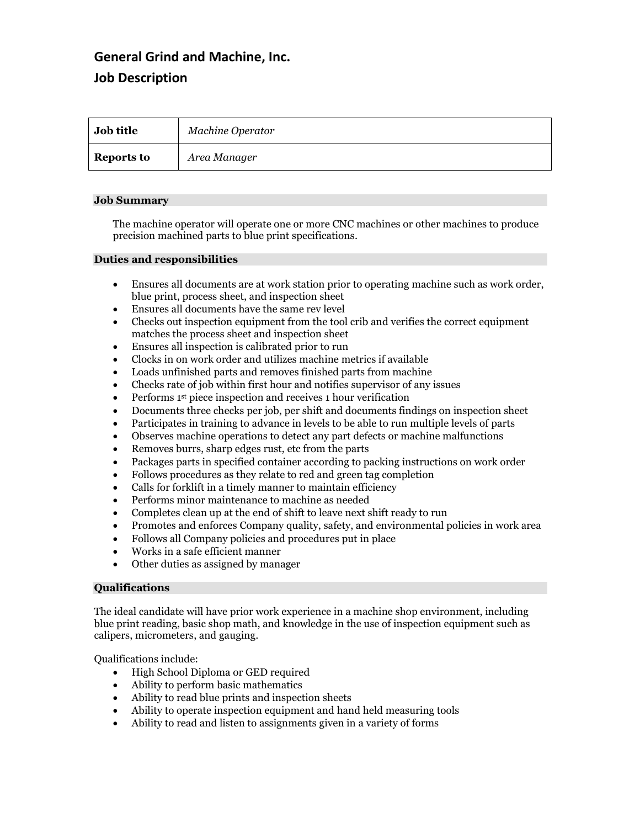# **General Grind and Machine, Inc. Job Description**

| <b>Job title</b>  | Machine Operator |
|-------------------|------------------|
| <b>Reports to</b> | Area Manager     |

### **Job Summary**

The machine operator will operate one or more CNC machines or other machines to produce precision machined parts to blue print specifications.

#### **Duties and responsibilities**

- Ensures all documents are at work station prior to operating machine such as work order, blue print, process sheet, and inspection sheet
- Ensures all documents have the same rev level
- Checks out inspection equipment from the tool crib and verifies the correct equipment matches the process sheet and inspection sheet
- Ensures all inspection is calibrated prior to run
- Clocks in on work order and utilizes machine metrics if available
- Loads unfinished parts and removes finished parts from machine
- Checks rate of job within first hour and notifies supervisor of any issues
- Performs 1<sup>st</sup> piece inspection and receives 1 hour verification
- Documents three checks per job, per shift and documents findings on inspection sheet
- Participates in training to advance in levels to be able to run multiple levels of parts
- Observes machine operations to detect any part defects or machine malfunctions
- Removes burrs, sharp edges rust, etc from the parts
- Packages parts in specified container according to packing instructions on work order
- Follows procedures as they relate to red and green tag completion
- Calls for forklift in a timely manner to maintain efficiency
- Performs minor maintenance to machine as needed
- Completes clean up at the end of shift to leave next shift ready to run
- Promotes and enforces Company quality, safety, and environmental policies in work area
- Follows all Company policies and procedures put in place
- Works in a safe efficient manner
- Other duties as assigned by manager

## **Qualifications**

The ideal candidate will have prior work experience in a machine shop environment, including blue print reading, basic shop math, and knowledge in the use of inspection equipment such as calipers, micrometers, and gauging.

Qualifications include:

- High School Diploma or GED required
- Ability to perform basic mathematics
- Ability to read blue prints and inspection sheets
- Ability to operate inspection equipment and hand held measuring tools
- Ability to read and listen to assignments given in a variety of forms